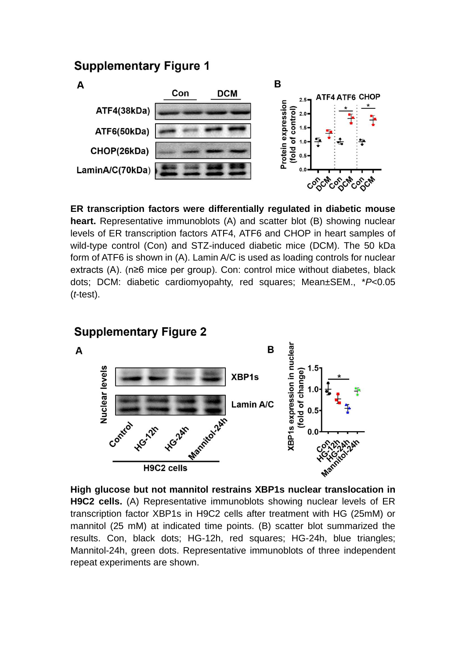### **Supplementary Figure 1**



**ER transcription factors were differentially regulated in diabetic mouse heart.** Representative immunoblots (A) and scatter blot (B) showing nuclear levels of ER transcription factors ATF4, ATF6 and CHOP in heart samples of wild-type control (Con) and STZ-induced diabetic mice (DCM). The 50 kDa form of ATF6 is shown in (A). Lamin A/C is used as loading controls for nuclear extracts (A). (n≥6 mice per group). Con: control mice without diabetes, black dots; DCM: diabetic cardiomyopahty, red squares; Mean±SEM., \**P*<0.05 (*t*-test).

# **Supplementary Figure 2**

A



**High glucose but not mannitol restrains XBP1s nuclear translocation in H9C2 cells.** (A) Representative immunoblots showing nuclear levels of ER transcription factor XBP1s in H9C2 cells after treatment with HG (25mM) or mannitol (25 mM) at indicated time points. (B) scatter blot summarized the results. Con, black dots; HG-12h, red squares; HG-24h, blue triangles; Mannitol-24h, green dots. Representative immunoblots of three independent repeat experiments are shown.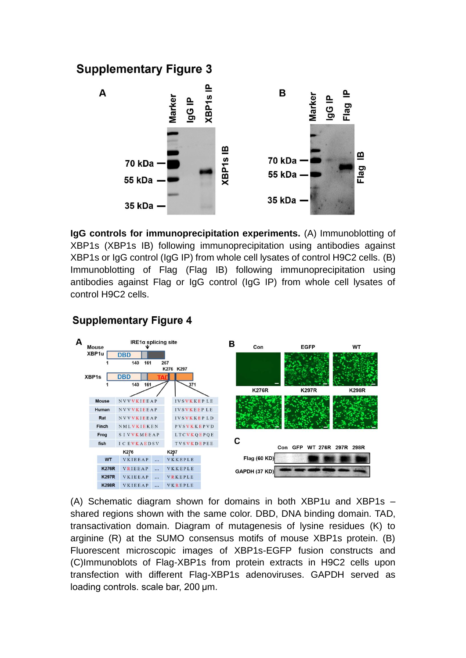## **Supplementary Figure 3**



**IgG controls for immunoprecipitation experiments.** (A) Immunoblotting of XBP1s (XBP1s IB) following immunoprecipitation using antibodies against XBP1s or IgG control (IgG IP) from whole cell lysates of control H9C2 cells. (B) Immunoblotting of Flag (Flag IB) following immunoprecipitation using antibodies against Flag or IgG control (IgG IP) from whole cell lysates of control H9C2 cells.

#### **Supplementary Figure 4**



(A) Schematic diagram shown for domains in both XBP1u and XBP1s – shared regions shown with the same color. DBD, DNA binding domain. TAD, transactivation domain. Diagram of mutagenesis of lysine residues (K) to arginine (R) at the SUMO consensus motifs of mouse XBP1s protein. (B) Fluorescent microscopic images of XBP1s-EGFP fusion constructs and (C)Immunoblots of Flag-XBP1s from protein extracts in H9C2 cells upon transfection with different Flag-XBP1s adenoviruses. GAPDH served as loading controls. scale bar, 200 μm.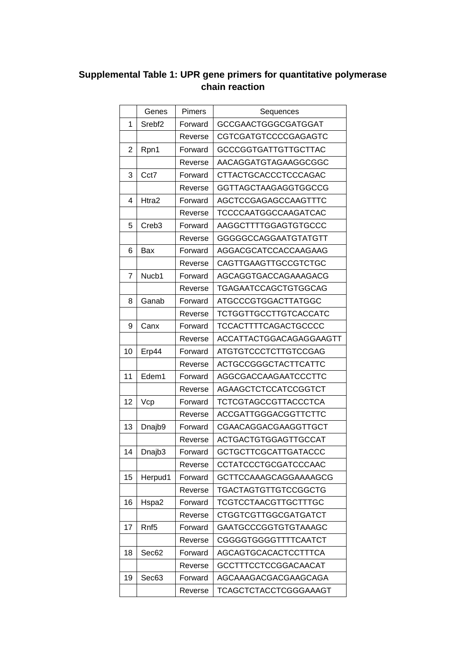#### **Supplemental Table 1: UPR gene primers for quantitative polymerase chain reaction**

|    | Genes              | Pimers  | Sequences                   |
|----|--------------------|---------|-----------------------------|
| 1  | Srebf <sub>2</sub> | Forward | <b>GCCGAACTGGGCGATGGAT</b>  |
|    |                    | Reverse | CGTCGATGTCCCCGAGAGTC        |
| 2  | Rpn1               | Forward | <b>GCCCGGTGATTGTTGCTTAC</b> |
|    |                    | Reverse | AACAGGATGTAGAAGGCGGC        |
| 3  | Cct7               | Forward | CTTACTGCACCCTCCCAGAC        |
|    |                    | Reverse | GGTTAGCTAAGAGGTGGCCG        |
| 4  | Htra2              | Forward | AGCTCCGAGAGCCAAGTTTC        |
|    |                    | Reverse | TCCCCAATGGCCAAGATCAC        |
| 5  | Creb <sub>3</sub>  | Forward | AAGGCTTTTGGAGTGTGCCC        |
|    |                    | Reverse | GGGGGCCAGGAATGTATGTT        |
| 6  | Bax                | Forward | AGGACGCATCCACCAAGAAG        |
|    |                    | Reverse | <b>CAGTTGAAGTTGCCGTCTGC</b> |
| 7  | Nucb1              | Forward | AGCAGGTGACCAGAAAGACG        |
|    |                    | Reverse | TGAGAATCCAGCTGTGGCAG        |
| 8  | Ganab              | Forward | ATGCCCGTGGACTTATGGC         |
|    |                    | Reverse | TCTGGTTGCCTTGTCACCATC       |
| 9  | Canx               | Forward | <b>TCCACTTTTCAGACTGCCCC</b> |
|    |                    | Reverse | ACCATTACTGGACAGAGGAAGTT     |
| 10 | Erp44              | Forward | <b>ATGTGTCCCTCTTGTCCGAG</b> |
|    |                    | Reverse | ACTGCCGGGCTACTTCATTC        |
| 11 | Edem1              | Forward | AGGCGACCAAGAATCCCTTC        |
|    |                    | Reverse | AGAAGCTCTCCATCCGGTCT        |
| 12 | Vcp                | Forward | <b>TCTCGTAGCCGTTACCCTCA</b> |
|    |                    | Reverse | ACCGATTGGGACGGTTCTTC        |
| 13 | Dnajb9             | Forward | CGAACAGGACGAAGGTTGCT        |
|    |                    | Reverse | <b>ACTGACTGTGGAGTTGCCAT</b> |
| 14 | Dnajb3             | Forward | <b>GCTGCTTCGCATTGATACCC</b> |
|    |                    | Reverse | CCTATCCCTGCGATCCCAAC        |
| 15 | Herpud1            | Forward | GCTTCCAAAGCAGGAAAAGCG       |
|    |                    | Reverse | TGACTAGTGTTGTCCGGCTG        |
| 16 | Hspa2              | Forward | TCGTCCTAACGTTGCTTTGC        |
|    |                    | Reverse | CTGGTCGTTGGCGATGATCT        |
| 17 | Rnf <sub>5</sub>   | Forward | GAATGCCCGGTGTGTAAAGC        |
|    |                    | Reverse | CGGGGTGGGGTTTTCAATCT        |
| 18 | Sec62              | Forward | AGCAGTGCACACTCCTTTCA        |
|    |                    | Reverse | GCCTTTCCTCCGGACAACAT        |
| 19 | Sec63              | Forward | AGCAAAGACGACGAAGCAGA        |
|    |                    | Reverse | TCAGCTCTACCTCGGGAAAGT       |